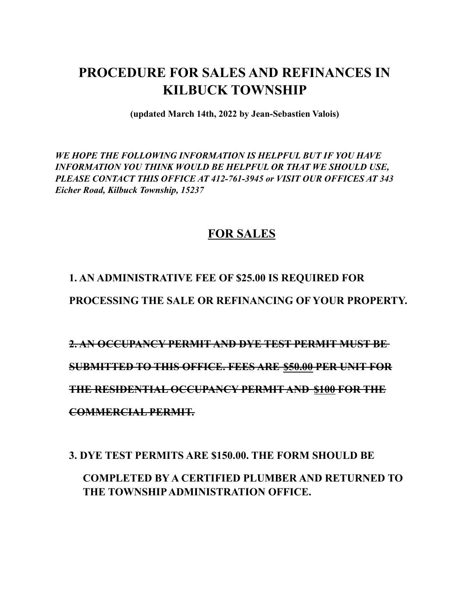# **PROCEDURE FOR SALES AND REFINANCES IN KILBUCK TOWNSHIP**

**(updated March 14th, 2022 by Jean-Sebastien Valois)**

*WE HOPE THE FOLLOWING INFORMATION IS HELPFUL BUT IF YOU HAVE INFORMATION YOU THINK WOULD BE HELPFUL OR THAT WE SHOULD USE, PLEASE CONTACT THIS OFFICE AT 412-761-3945 or VISIT OUR OFFICES AT 343 Eicher Road, Kilbuck Township, 15237*

#### **FOR SALES**

#### **1. AN ADMINISTRATIVE FEE OF \$25.00 IS REQUIRED FOR**

**PROCESSING THE SALE OR REFINANCING OF YOUR PROPERTY.**

**2. AN OCCUPANCY PERMIT AND DYE TEST PERMIT MUST BE SUBMITTED TO THIS OFFICE. FEES ARE \$50.00 PER UNIT FOR THE RESIDENTIAL OCCUPANCY PERMIT AND \$100 FOR THE COMMERCIAL PERMIT.**

**3. DYE TEST PERMITS ARE \$150.00. THE FORM SHOULD BE**

**COMPLETED BY A CERTIFIED PLUMBER AND RETURNED TO THE TOWNSHIPADMINISTRATION OFFICE.**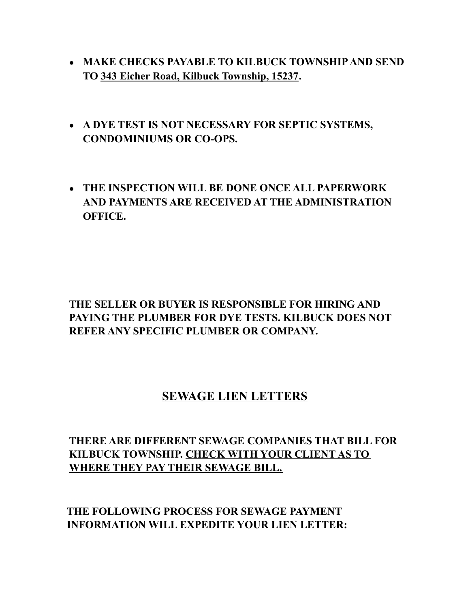- **MAKE CHECKS PAYABLE TO KILBUCK TOWNSHIPAND SEND TO 343 Eicher Road, Kilbuck Township, 15237.**
- **A DYE TEST IS NOT NECESSARY FOR SEPTIC SYSTEMS, CONDOMINIUMS OR CO-OPS.**
- **THE INSPECTION WILL BE DONE ONCE ALL PAPERWORK AND PAYMENTS ARE RECEIVED AT THE ADMINISTRATION OFFICE.**

#### **THE SELLER OR BUYER IS RESPONSIBLE FOR HIRING AND PAYING THE PLUMBER FOR DYE TESTS. KILBUCK DOES NOT REFER ANY SPECIFIC PLUMBER OR COMPANY.**

## **SEWAGE LIEN LETTERS**

#### **THERE ARE DIFFERENT SEWAGE COMPANIES THAT BILL FOR KILBUCK TOWNSHIP. CHECK WITH YOUR CLIENT AS TO WHERE THEY PAY THEIR SEWAGE BILL.**

**THE FOLLOWING PROCESS FOR SEWAGE PAYMENT INFORMATION WILL EXPEDITE YOUR LIEN LETTER:**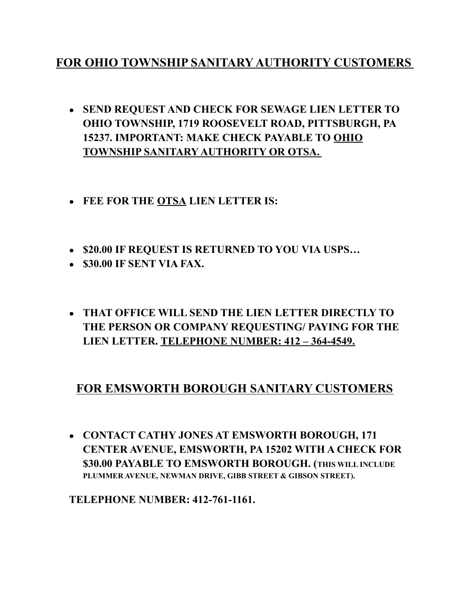### **FOR OHIO TOWNSHIP SANITARY AUTHORITY CUSTOMERS**

- **SEND REQUEST AND CHECK FOR SEWAGE LIEN LETTER TO OHIO TOWNSHIP, 1719 ROOSEVELT ROAD, PITTSBURGH, PA 15237. IMPORTANT: MAKE CHECK PAYABLE TO OHIO TOWNSHIP SANITARY AUTHORITY OR OTSA.**
- **FEE FOR THE OTSA LIEN LETTER IS:**
- **\$20.00 IF REQUEST IS RETURNED TO YOU VIA USPS…**
- **\$30.00 IF SENT VIA FAX.**
- **THAT OFFICE WILL SEND THE LIEN LETTER DIRECTLY TO THE PERSON OR COMPANY REQUESTING/ PAYING FOR THE LIEN LETTER. TELEPHONE NUMBER: 412 – 364-4549.**

## **FOR EMSWORTH BOROUGH SANITARY CUSTOMERS**

● **CONTACT CATHY JONES AT EMSWORTH BOROUGH, 171 CENTER AVENUE, EMSWORTH, PA 15202 WITH A CHECK FOR \$30.00 PAYABLE TO EMSWORTH BOROUGH. (THIS WILL INCLUDE PLUMMER AVENUE, NEWMAN DRIVE, GIBB STREET & GIBSON STREET).**

**TELEPHONE NUMBER: 412-761-1161.**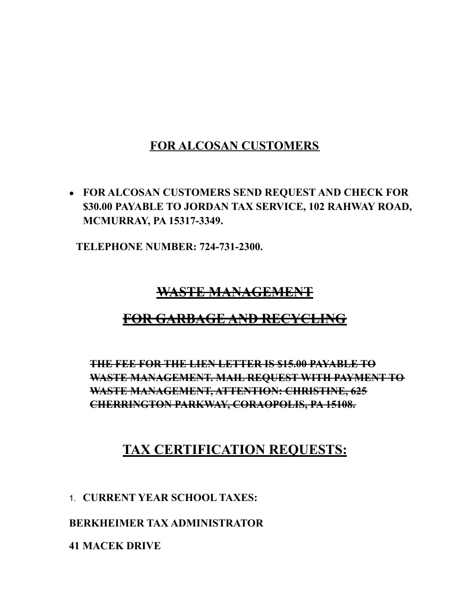## **FOR ALCOSAN CUSTOMERS**

● **FOR ALCOSAN CUSTOMERS SEND REQUEST AND CHECK FOR \$30.00 PAYABLE TO JORDAN TAX SERVICE, 102 RAHWAY ROAD, MCMURRAY, PA 15317-3349.**

**TELEPHONE NUMBER: 724-731-2300.**

### **WASTE MANAGEMENT**

# **FOR GARBAGE AND RECYCLING**

**THE FEE FOR THE LIEN LETTER IS \$15.00 PAYABLE TO WASTE MANAGEMENT. MAIL REQUEST WITH PAYMENT TO WASTE MANAGEMENT, ATTENTION: CHRISTINE, 625 CHERRINGTON PARKWAY, CORAOPOLIS, PA 15108.**

# **TAX CERTIFICATION REQUESTS:**

1. **CURRENT YEAR SCHOOL TAXES:**

**BERKHEIMER TAX ADMINISTRATOR**

**41 MACEK DRIVE**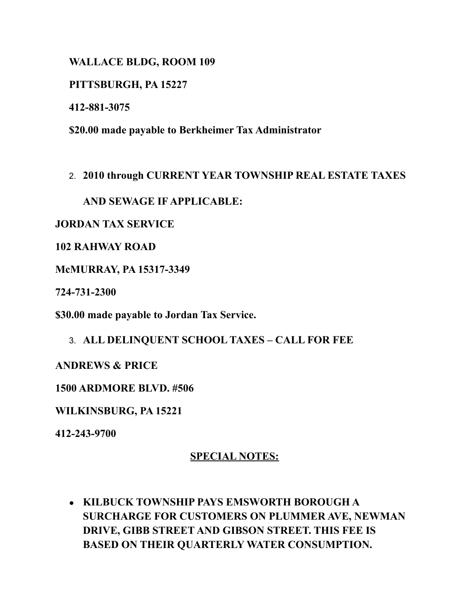**WALLACE BLDG, ROOM 109**

**PITTSBURGH, PA 15227**

**412-881-3075**

**\$20.00 made payable to Berkheimer Tax Administrator**

#### 2. **2010 through CURRENT YEAR TOWNSHIP REAL ESTATE TAXES**

**AND SEWAGE IF APPLICABLE:**

**JORDAN TAX SERVICE**

**102 RAHWAY ROAD**

**McMURRAY, PA 15317-3349**

**724-731-2300**

**\$30.00 made payable to Jordan Tax Service.**

#### 3. **ALL DELINQUENT SCHOOL TAXES – CALL FOR FEE**

**ANDREWS & PRICE**

**1500 ARDMORE BLVD. #506**

**WILKINSBURG, PA 15221**

**412-243-9700**

#### **SPECIAL NOTES:**

● **KILBUCK TOWNSHIP PAYS EMSWORTH BOROUGH A SURCHARGE FOR CUSTOMERS ON PLUMMER AVE, NEWMAN DRIVE, GIBB STREET AND GIBSON STREET. THIS FEE IS BASED ON THEIR QUARTERLY WATER CONSUMPTION.**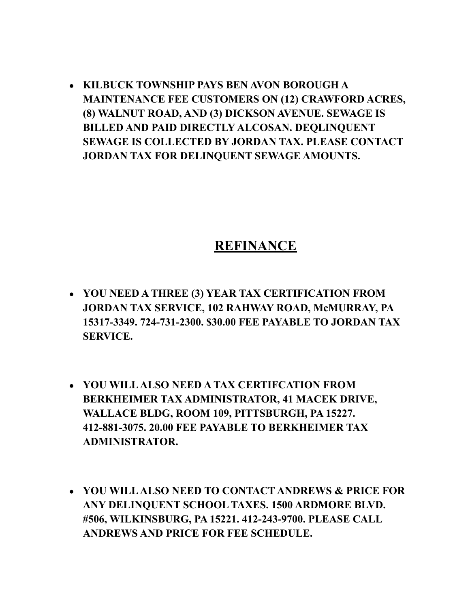● **KILBUCK TOWNSHIP PAYS BEN AVON BOROUGH A MAINTENANCE FEE CUSTOMERS ON (12) CRAWFORD ACRES, (8) WALNUT ROAD, AND (3) DICKSON AVENUE. SEWAGE IS BILLED AND PAID DIRECTLY ALCOSAN. DEQLINQUENT SEWAGE IS COLLECTED BY JORDAN TAX. PLEASE CONTACT JORDAN TAX FOR DELINQUENT SEWAGE AMOUNTS.**

## **REFINANCE**

- **YOU NEED A THREE (3) YEAR TAX CERTIFICATION FROM JORDAN TAX SERVICE, 102 RAHWAY ROAD, McMURRAY, PA 15317-3349. 724-731-2300. \$30.00 FEE PAYABLE TO JORDAN TAX SERVICE.**
- **YOU WILLALSO NEED A TAX CERTIFCATION FROM BERKHEIMER TAX ADMINISTRATOR, 41 MACEK DRIVE, WALLACE BLDG, ROOM 109, PITTSBURGH, PA 15227. 412-881-3075. 20.00 FEE PAYABLE TO BERKHEIMER TAX ADMINISTRATOR.**
- **YOU WILLALSO NEED TO CONTACT ANDREWS & PRICE FOR ANY DELINQUENT SCHOOL TAXES. 1500 ARDMORE BLVD. #506, WILKINSBURG, PA 15221. 412-243-9700. PLEASE CALL ANDREWS AND PRICE FOR FEE SCHEDULE.**